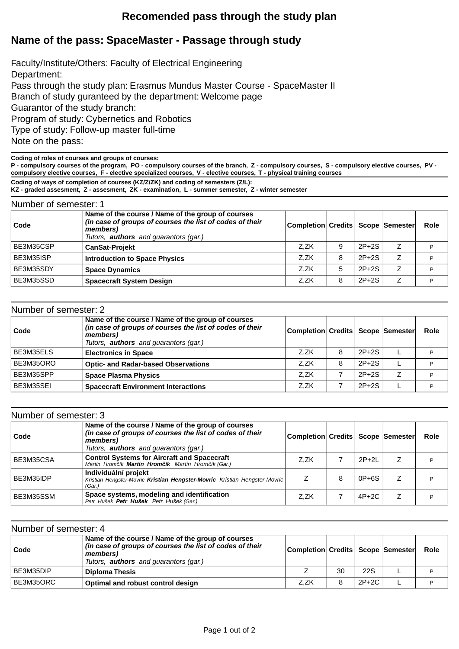## **Recomended pass through the study plan**

## **Name of the pass: SpaceMaster - Passage through study**

Faculty/Institute/Others: Faculty of Electrical Engineering Department: Pass through the study plan: Erasmus Mundus Master Course - SpaceMaster II Branch of study guranteed by the department: Welcome page Guarantor of the study branch: Program of study: Cybernetics and Robotics Type of study: Follow-up master full-time Note on the pass:

**Coding of roles of courses and groups of courses:**

**P - compulsory courses of the program, PO - compulsory courses of the branch, Z - compulsory courses, S - compulsory elective courses, PV compulsory elective courses, F - elective specialized courses, V - elective courses, T - physical training courses**

**Coding of ways of completion of courses (KZ/Z/ZK) and coding of semesters (Z/L):**

**KZ - graded assesment, Z - assesment, ZK - examination, L - summer semester, Z - winter semester**

| Number of semester: 1 |                                                                                                                                                                           |                                       |   |         |                |      |
|-----------------------|---------------------------------------------------------------------------------------------------------------------------------------------------------------------------|---------------------------------------|---|---------|----------------|------|
| Code                  | Name of the course / Name of the group of courses<br>(in case of groups of courses the list of codes of their<br>members)<br>Tutors, <b>authors</b> and guarantors (gar.) | Completion Credits   Scope   Semester |   |         |                | Role |
| BE3M35CSP             | <b>CanSat-Projekt</b>                                                                                                                                                     | Z.ZK                                  | 9 | $2P+2S$ | $\overline{z}$ | D    |
| BE3M35ISP             | <b>Introduction to Space Physics</b>                                                                                                                                      | Z.ZK                                  | 8 | $2P+2S$ | Ζ              | P    |
| BE3M35SDY             | <b>Space Dynamics</b>                                                                                                                                                     | Z.ZK                                  | 5 | $2P+2S$ | 7              | D    |
| BE3M35SSD             | <b>Spacecraft System Design</b>                                                                                                                                           | Z.ZK                                  | 8 | $2P+2S$ | $\overline{z}$ | D    |

| Number of semester: 2 |                                                                                                                                                                           |                                      |   |         |    |      |  |
|-----------------------|---------------------------------------------------------------------------------------------------------------------------------------------------------------------------|--------------------------------------|---|---------|----|------|--|
| ⊦Code                 | Name of the course / Name of the group of courses<br>(in case of groups of courses the list of codes of their<br>members)<br>Tutors, <b>authors</b> and guarantors (gar.) | Completion Credits   Scope  Semester |   |         |    | Role |  |
| BE3M35ELS             | <b>Electronics in Space</b>                                                                                                                                               | Z.ZK                                 | 8 | $2P+2S$ |    | D    |  |
| BE3M35ORO             | <b>Optic- and Radar-based Observations</b>                                                                                                                                | Z.ZK                                 | 8 | $2P+2S$ |    | P    |  |
| BE3M35SPP             | <b>Space Plasma Physics</b>                                                                                                                                               | Z.ZK                                 |   | $2P+2S$ | Z. | D    |  |
| BE3M35SEI             | <b>Spacecraft Environment Interactions</b>                                                                                                                                | Z.ZK                                 |   | $2P+2S$ |    |      |  |

| Number of semester: 3 |                                                                                                                                                                           |                                      |   |         |   |      |
|-----------------------|---------------------------------------------------------------------------------------------------------------------------------------------------------------------------|--------------------------------------|---|---------|---|------|
| Code                  | Name of the course / Name of the group of courses<br>(in case of groups of courses the list of codes of their<br>members)<br>Tutors, <b>authors</b> and guarantors (gar.) | Completion Credits   Scope  Semester |   |         |   | Role |
| BE3M35CSA             | <b>Control Systems for Aircraft and Spacecraft</b><br>Martin Hrom ík Martin Hrom ík Martin Hrom ík (Gar.)                                                                 | Z.ZK                                 |   | $2P+2L$ |   | P    |
| BE3M35IDP             | Individuální projekt<br>Kristian Hengster-Movric Kristian Hengster-Movric Kristian Hengster-Movric<br>(Gar.)                                                              |                                      | 8 | $0P+6S$ | Z | P    |
| BE3M35SSM             | Space systems, modeling and identification<br>Petr Hušek Petr Hušek Petr Hušek (Gar.)                                                                                     | Z.ZK                                 |   | $4P+2C$ | Z | P    |

| Number of semester: 4 |                                                                                                                                                                           |                                     |    |       |  |             |  |
|-----------------------|---------------------------------------------------------------------------------------------------------------------------------------------------------------------------|-------------------------------------|----|-------|--|-------------|--|
| Code                  | Name of the course / Name of the group of courses<br>(in case of groups of courses the list of codes of their<br>members)<br>Tutors, <b>authors</b> and quarantors (gar.) | Completion Credits   Scope Semester |    |       |  | <b>Role</b> |  |
| BE3M35DIP             | <b>Diploma Thesis</b>                                                                                                                                                     |                                     | 30 | 22S   |  |             |  |
| BE3M35ORC             | Optimal and robust control design                                                                                                                                         | Z.ZK                                | 8  | 2P+2C |  |             |  |